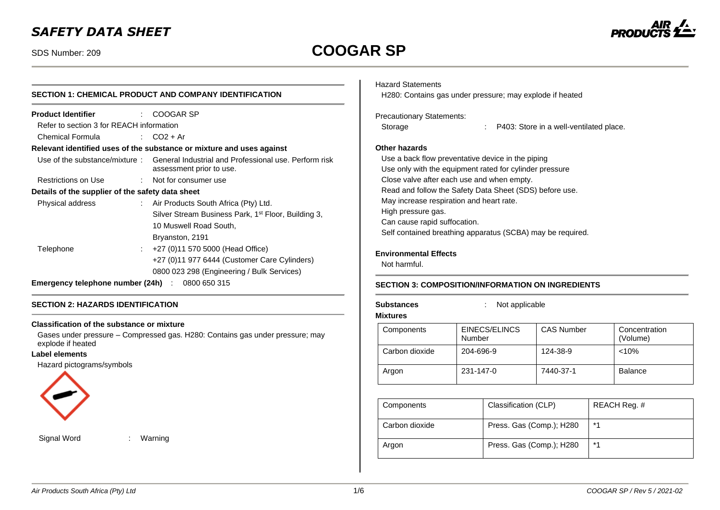# *SAFETY DATA SHEET*

# SDS Number: 209 **COOGAR SP**



# **SECTION 1: CHEMICAL PRODUCT AND COMPANY IDENTIFICATION**

| <b>Product Identifier</b>                                         |                                                  | COOGAR SP                                                                                                       |  |  |  |
|-------------------------------------------------------------------|--------------------------------------------------|-----------------------------------------------------------------------------------------------------------------|--|--|--|
| Refer to section 3 for REACH information                          |                                                  |                                                                                                                 |  |  |  |
| Chemical Formula                                                  |                                                  | $CO2 + Ar$                                                                                                      |  |  |  |
|                                                                   |                                                  | Relevant identified uses of the substance or mixture and uses against                                           |  |  |  |
|                                                                   |                                                  | Use of the substance/mixture: General Industrial and Professional use. Perform risk<br>assessment prior to use. |  |  |  |
| Restrictions on Use                                               |                                                  | : Not for consumer use                                                                                          |  |  |  |
|                                                                   | Details of the supplier of the safety data sheet |                                                                                                                 |  |  |  |
| Physical address                                                  |                                                  | : Air Products South Africa (Pty) Ltd.                                                                          |  |  |  |
|                                                                   |                                                  | Silver Stream Business Park, 1 <sup>st</sup> Floor, Building 3,                                                 |  |  |  |
|                                                                   |                                                  | 10 Muswell Road South,                                                                                          |  |  |  |
|                                                                   |                                                  | Bryanston, 2191                                                                                                 |  |  |  |
| Telephone                                                         |                                                  | +27 (0)11 570 5000 (Head Office)                                                                                |  |  |  |
|                                                                   |                                                  | +27 (0)11 977 6444 (Customer Care Cylinders)                                                                    |  |  |  |
|                                                                   |                                                  | 0800 023 298 (Engineering / Bulk Services)                                                                      |  |  |  |
| <b>Emergency telephone number (24h)</b> $\therefore$ 0800 650 315 |                                                  |                                                                                                                 |  |  |  |
|                                                                   |                                                  |                                                                                                                 |  |  |  |

#### **SECTION 2: HAZARDS IDENTIFICATION**

#### **Classification of the substance or mixture**

Gases under pressure – Compressed gas. H280: Contains gas under pressure; may explode if heated

#### **Label elements**

Hazard pictograms/symbols



Signal Word : Warning

## Hazard Statements

H280: Contains gas under pressure; may explode if heated

#### Precautionary Statements:

Storage : P403: Store in a well-ventilated place.

### **Other hazards**

Use a back flow preventative device in the piping Use only with the equipment rated for cylinder pressure Close valve after each use and when empty. Read and follow the Safety Data Sheet (SDS) before use. May increase respiration and heart rate. High pressure gas. Can cause rapid suffocation. Self contained breathing apparatus (SCBA) may be required.

#### **Environmental Effects**

Not harmful.

#### **SECTION 3: COMPOSITION/INFORMATION ON INGREDIENTS**

**Mixtures**

**Substances** : Not applicable

| ts | EINECS/ELINCS | CAS <sub>N</sub> |
|----|---------------|------------------|
|    | <b>Number</b> |                  |

| Components     | EINECS/ELINCS<br>Number | CAS Number | Concentration<br>(Volume) |
|----------------|-------------------------|------------|---------------------------|
| Carbon dioxide | 204-696-9               | 124-38-9   | < 10%                     |
| Argon          | 231-147-0               | 7440-37-1  | Balance                   |

| Components     | Classification (CLP)     | REACH Reg. # |
|----------------|--------------------------|--------------|
| Carbon dioxide | Press. Gas (Comp.); H280 | $*1$         |
| Argon          | Press. Gas (Comp.); H280 | $*1$         |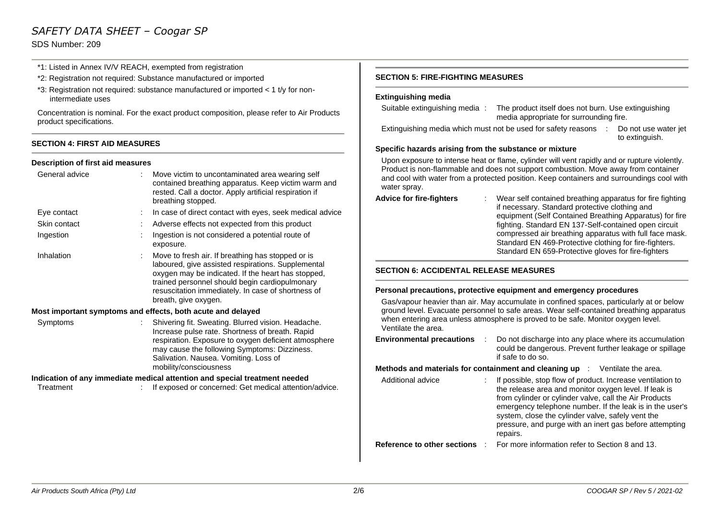# *SAFETY DATA SHEET – Coogar SP*

SDS Number: 209

- \*1: Listed in Annex IV/V REACH, exempted from registration
- \*2: Registration not required: Substance manufactured or imported
- \*3: Registration not required: substance manufactured or imported < 1 t/y for nonintermediate uses

Concentration is nominal. For the exact product composition, please refer to Air Products product specifications.

#### **SECTION 4: FIRST AID MEASURES**

#### **Description of first aid measures**

| General advice                                                             |   | Move victim to uncontaminated area wearing self<br>contained breathing apparatus. Keep victim warm and<br>rested. Call a doctor. Apply artificial respiration if<br>breathing stopped.                                                                                                        |  |  |  |
|----------------------------------------------------------------------------|---|-----------------------------------------------------------------------------------------------------------------------------------------------------------------------------------------------------------------------------------------------------------------------------------------------|--|--|--|
| Eye contact                                                                |   | In case of direct contact with eyes, seek medical advice                                                                                                                                                                                                                                      |  |  |  |
| Skin contact                                                               |   | Adverse effects not expected from this product                                                                                                                                                                                                                                                |  |  |  |
| Ingestion                                                                  |   | Ingestion is not considered a potential route of<br>exposure.                                                                                                                                                                                                                                 |  |  |  |
| Inhalation                                                                 | ÷ | Move to fresh air. If breathing has stopped or is<br>laboured, give assisted respirations. Supplemental<br>oxygen may be indicated. If the heart has stopped,<br>trained personnel should begin cardiopulmonary<br>resuscitation immediately. In case of shortness of<br>breath, give oxygen. |  |  |  |
|                                                                            |   | Most important symptoms and effects, both acute and delayed                                                                                                                                                                                                                                   |  |  |  |
| Symptoms                                                                   |   | Shivering fit. Sweating. Blurred vision. Headache.<br>Increase pulse rate. Shortness of breath. Rapid<br>respiration. Exposure to oxygen deficient atmosphere<br>may cause the following Symptoms: Dizziness.<br>Salivation. Nausea. Vomiting. Loss of<br>mobility/consciousness              |  |  |  |
| Indication of any immediate medical attention and special treatment needed |   |                                                                                                                                                                                                                                                                                               |  |  |  |
| Treatment                                                                  |   | If exposed or concerned: Get medical attention/advice.                                                                                                                                                                                                                                        |  |  |  |

#### **SECTION 5: FIRE-FIGHTING MEASURES**

#### **Extinguishing media**

| Suitable extinguishing media:                                 | The product itself does not burn. Use extinguishing<br>media appropriate for surrounding fire. |                                        |
|---------------------------------------------------------------|------------------------------------------------------------------------------------------------|----------------------------------------|
| Extinguishing media which must not be used for safety reasons |                                                                                                | Do not use water jet<br>to extinguish. |

#### **Specific hazards arising from the substance or mixture**

Upon exposure to intense heat or flame, cylinder will vent rapidly and or rupture violently. Product is non-flammable and does not support combustion. Move away from container and cool with water from a protected position. Keep containers and surroundings cool with water spray.

| <b>Advice for fire-fighters</b> | Wear self contained breathing apparatus for fire fighting<br>if necessary. Standard protective clothing and<br>equipment (Self Contained Breathing Apparatus) for fire<br>fighting. Standard EN 137-Self-contained open circuit<br>compressed air breathing apparatus with full face mask.<br>Standard EN 469-Protective clothing for fire-fighters. |
|---------------------------------|------------------------------------------------------------------------------------------------------------------------------------------------------------------------------------------------------------------------------------------------------------------------------------------------------------------------------------------------------|
|                                 | Standard EN 659-Protective gloves for fire-fighters                                                                                                                                                                                                                                                                                                  |

#### **SECTION 6: ACCIDENTAL RELEASE MEASURES**

#### **Personal precautions, protective equipment and emergency procedures**

Gas/vapour heavier than air. May accumulate in confined spaces, particularly at or below ground level. Evacuate personnel to safe areas. Wear self-contained breathing apparatus when entering area unless atmosphere is proved to be safe. Monitor oxygen level. Ventilate the area.

**Environmental precautions** : Do not discharge into any place where its accumulation could be dangerous. Prevent further leakage or spillage if safe to do so.

#### **Methods and materials for containment and cleaning up** : Ventilate the area.

Additional advice : If possible, stop flow of product. Increase ventilation to the release area and monitor oxygen level. If leak is from cylinder or cylinder valve, call the Air Products emergency telephone number. If the leak is in the user's system, close the cylinder valve, safely vent the pressure, and purge with an inert gas before attempting repairs.

**Reference to other sections** : For more information refer to Section 8 and 13.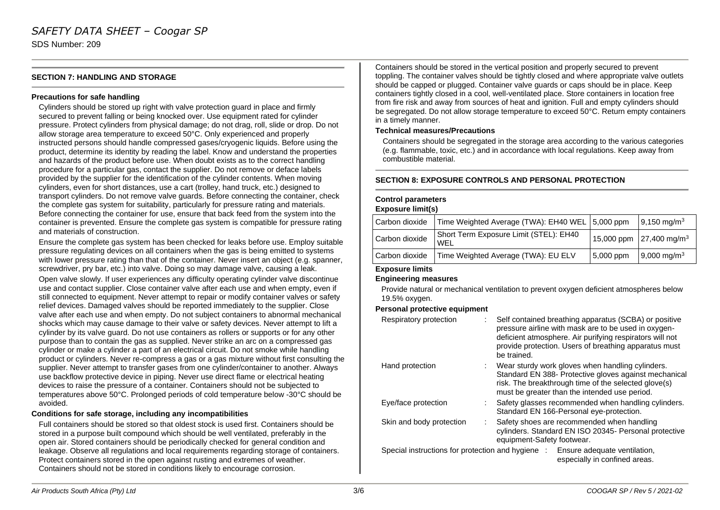#### **SECTION 7: HANDLING AND STORAGE**

#### **Precautions for safe handling**

Cylinders should be stored up right with valve protection guard in place and firmly secured to prevent falling or being knocked over. Use equipment rated for cylinder pressure. Protect cylinders from physical damage; do not drag, roll, slide or drop. Do not allow storage area temperature to exceed 50°C. Only experienced and properly instructed persons should handle compressed gases/cryogenic liquids. Before using the product, determine its identity by reading the label. Know and understand the properties and hazards of the product before use. When doubt exists as to the correct handling procedure for a particular gas, contact the supplier. Do not remove or deface labels provided by the supplier for the identification of the cylinder contents. When moving cylinders, even for short distances, use a cart (trolley, hand truck, etc.) designed to transport cylinders. Do not remove valve guards. Before connecting the container, check the complete gas system for suitability, particularly for pressure rating and materials. Before connecting the container for use, ensure that back feed from the system into the container is prevented. Ensure the complete gas system is compatible for pressure rating and materials of construction.

Ensure the complete gas system has been checked for leaks before use. Employ suitable pressure regulating devices on all containers when the gas is being emitted to systems with lower pressure rating than that of the container. Never insert an object (e.g. spanner, screwdriver, pry bar, etc.) into valve. Doing so may damage valve, causing a leak. Open valve slowly. If user experiences any difficulty operating cylinder valve discontinue use and contact supplier. Close container valve after each use and when empty, even if still connected to equipment. Never attempt to repair or modify container valves or safety relief devices. Damaged valves should be reported immediately to the supplier. Close valve after each use and when empty. Do not subject containers to abnormal mechanical shocks which may cause damage to their valve or safety devices. Never attempt to lift a cylinder by its valve guard. Do not use containers as rollers or supports or for any other purpose than to contain the gas as supplied. Never strike an arc on a compressed gas cylinder or make a cylinder a part of an electrical circuit. Do not smoke while handling product or cylinders. Never re-compress a gas or a gas mixture without first consulting the supplier. Never attempt to transfer gases from one cylinder/container to another. Always use backflow protective device in piping. Never use direct flame or electrical heating devices to raise the pressure of a container. Containers should not be subjected to temperatures above 50°C. Prolonged periods of cold temperature below -30°C should be avoided.

#### **Conditions for safe storage, including any incompatibilities**

Full containers should be stored so that oldest stock is used first. Containers should be stored in a purpose built compound which should be well ventilated, preferably in the open air. Stored containers should be periodically checked for general condition and leakage. Observe all regulations and local requirements regarding storage of containers. Protect containers stored in the open against rusting and extremes of weather. Containers should not be stored in conditions likely to encourage corrosion.

Containers should be stored in the vertical position and properly secured to prevent toppling. The container valves should be tightly closed and where appropriate valve outlets should be capped or plugged. Container valve guards or caps should be in place. Keep containers tightly closed in a cool, well-ventilated place. Store containers in location free from fire risk and away from sources of heat and ignition. Full and empty cylinders should be segregated. Do not allow storage temperature to exceed 50°C. Return empty containers in a timely manner.

#### **Technical measures/Precautions**

Containers should be segregated in the storage area according to the various categories (e.g. flammable, toxic, etc.) and in accordance with local regulations. Keep away from combustible material.

#### **SECTION 8: EXPOSURE CONTROLS AND PERSONAL PROTECTION**

## **Control parameters**

| <b>Exposure limit(s)</b> |  |  |
|--------------------------|--|--|
|--------------------------|--|--|

| Carbon dioxide | Time Weighted Average (TWA): EH40 WEL 5,000 ppm |           | 9,150 mg/m <sup>3</sup>             |
|----------------|-------------------------------------------------|-----------|-------------------------------------|
| Carbon dioxide | Short Term Exposure Limit (STEL): EH40<br>WFL   |           | 15,000 ppm 27,400 mg/m <sup>3</sup> |
| Carbon dioxide | Time Weighted Average (TWA): EU ELV             | 5,000 ppm | $9,000 \,\mathrm{mg/m^3}$           |

#### **Exposure limits**

#### **Engineering measures**

Provide natural or mechanical ventilation to prevent oxygen deficient atmospheres below 19.5% oxygen.

#### **Personal protective equipment**

| Respiratory protection   | Self contained breathing apparatus (SCBA) or positive<br>pressure airline with mask are to be used in oxygen-<br>deficient atmosphere. Air purifying respirators will not<br>provide protection. Users of breathing apparatus must<br>be trained. |
|--------------------------|---------------------------------------------------------------------------------------------------------------------------------------------------------------------------------------------------------------------------------------------------|
| Hand protection          | Wear sturdy work gloves when handling cylinders.<br>Standard EN 388- Protective gloves against mechanical<br>risk. The breakthrough time of the selected glove(s)<br>must be greater than the intended use period.                                |
| Eye/face protection      | Safety glasses recommended when handling cylinders.<br>Standard EN 166-Personal eye-protection.                                                                                                                                                   |
| Skin and body protection | Safety shoes are recommended when handling<br>cylinders. Standard EN ISO 20345- Personal protective<br>equipment-Safety footwear.                                                                                                                 |
|                          | Special instructions for protection and hygiene : Ensure adequate ventilation,<br>especially in confined areas.                                                                                                                                   |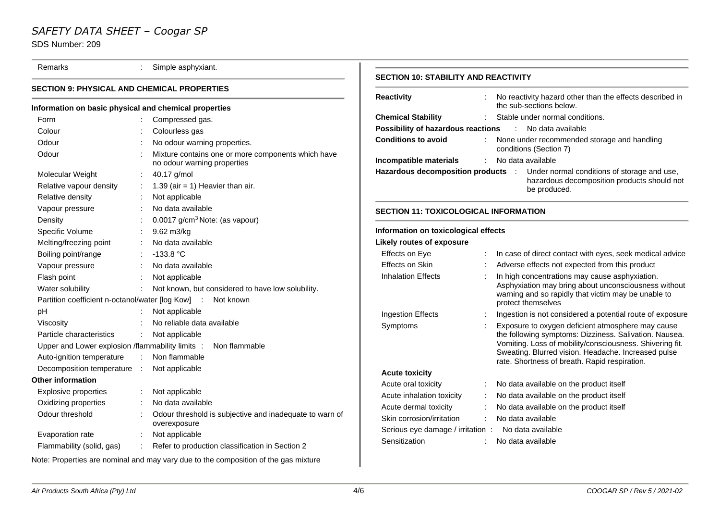# *SAFETY DATA SHEET – Coogar SP*

SDS Number: 209

| Remarks                                               |           | Simple asphyxiant.                                                                  | <b>SECTION 10: STABILITY AND REACTIVITY</b>  |            |                                                                                                                 |  |
|-------------------------------------------------------|-----------|-------------------------------------------------------------------------------------|----------------------------------------------|------------|-----------------------------------------------------------------------------------------------------------------|--|
| <b>SECTION 9: PHYSICAL AND CHEMICAL PROPERTIES</b>    |           |                                                                                     |                                              |            |                                                                                                                 |  |
| Information on basic physical and chemical properties |           |                                                                                     | <b>Reactivity</b>                            |            | No reactivity hazard other than the effects described in<br>the sub-sections below.                             |  |
| Form                                                  |           | Compressed gas.                                                                     | <b>Chemical Stability</b>                    |            | Stable under normal conditions.                                                                                 |  |
| Colour                                                |           | Colourless gas                                                                      | Possibility of hazardous reactions           | <b>COL</b> | No data available                                                                                               |  |
| Odour                                                 |           | No odour warning properties.                                                        | <b>Conditions to avoid</b>                   |            | None under recommended storage and handling                                                                     |  |
| Odour                                                 |           | Mixture contains one or more components which have                                  |                                              |            | conditions (Section 7)                                                                                          |  |
|                                                       |           | no odour warning properties                                                         | Incompatible materials                       |            | No data available                                                                                               |  |
| Molecular Weight                                      |           | 40.17 g/mol                                                                         | Hazardous decomposition products :           |            | Under normal conditions of storage and use,                                                                     |  |
| Relative vapour density                               |           | 1.39 (air = 1) Heavier than air.                                                    |                                              |            | hazardous decomposition products should not<br>be produced.                                                     |  |
| Relative density                                      |           | Not applicable                                                                      |                                              |            |                                                                                                                 |  |
| Vapour pressure                                       |           | No data available                                                                   | <b>SECTION 11: TOXICOLOGICAL INFORMATION</b> |            |                                                                                                                 |  |
| Density                                               |           | 0.0017 g/cm <sup>3</sup> Note: (as vapour)                                          |                                              |            |                                                                                                                 |  |
| Specific Volume                                       |           | $9.62 \text{ m}$ 3/kg                                                               | Information on toxicological effects         |            |                                                                                                                 |  |
| Melting/freezing point                                |           | No data available                                                                   | Likely routes of exposure                    |            |                                                                                                                 |  |
| Boiling point/range                                   |           | $-133.8 °C$                                                                         | Effects on Eye                               |            | In case of direct contact with eyes, seek medical advice                                                        |  |
| Vapour pressure                                       |           | No data available                                                                   | Effects on Skin                              |            | Adverse effects not expected from this product                                                                  |  |
| Flash point                                           |           | Not applicable                                                                      | <b>Inhalation Effects</b>                    |            | In high concentrations may cause asphyxiation.                                                                  |  |
| Water solubility                                      |           | Not known, but considered to have low solubility.                                   |                                              |            | Asphyxiation may bring about unconsciousness without<br>warning and so rapidly that victim may be unable to     |  |
|                                                       |           | Partition coefficient n-octanol/water [log Kow] : Not known                         |                                              |            | protect themselves                                                                                              |  |
| pH                                                    |           | Not applicable                                                                      | <b>Ingestion Effects</b>                     |            | Ingestion is not considered a potential route of exposure                                                       |  |
| Viscosity                                             |           | No reliable data available                                                          | Symptoms                                     |            | Exposure to oxygen deficient atmosphere may cause                                                               |  |
| Particle characteristics                              |           | Not applicable                                                                      |                                              |            | the following symptoms: Dizziness. Salivation. Nausea.                                                          |  |
| Upper and Lower explosion /flammability limits :      |           | Non flammable                                                                       |                                              |            | Vomiting. Loss of mobility/consciousness. Shivering fit.<br>Sweating. Blurred vision. Headache. Increased pulse |  |
| Auto-ignition temperature                             |           | Non flammable                                                                       |                                              |            | rate. Shortness of breath. Rapid respiration.                                                                   |  |
| Decomposition temperature                             | $\sim$ 10 | Not applicable                                                                      | <b>Acute toxicity</b>                        |            |                                                                                                                 |  |
| <b>Other information</b>                              |           |                                                                                     | Acute oral toxicity                          |            | No data available on the product itself                                                                         |  |
| Explosive properties                                  |           | Not applicable                                                                      | Acute inhalation toxicity                    |            | No data available on the product itself                                                                         |  |
| Oxidizing properties                                  |           | No data available                                                                   | Acute dermal toxicity                        |            | No data available on the product itself                                                                         |  |
| Odour threshold                                       |           | Odour threshold is subjective and inadequate to warn of                             | Skin corrosion/irritation                    |            | No data available                                                                                               |  |
|                                                       |           | overexposure                                                                        | Serious eye damage / irritation :            |            | No data available                                                                                               |  |
| Evaporation rate                                      |           | Not applicable                                                                      | Sensitization                                |            | No data available                                                                                               |  |
| Flammability (solid, gas)                             |           | Refer to production classification in Section 2                                     |                                              |            |                                                                                                                 |  |
|                                                       |           | Note: Properties are nominal and may vary due to the composition of the gas mixture |                                              |            |                                                                                                                 |  |

Note: Properties are nominal and may vary due to the composition of the gas mixture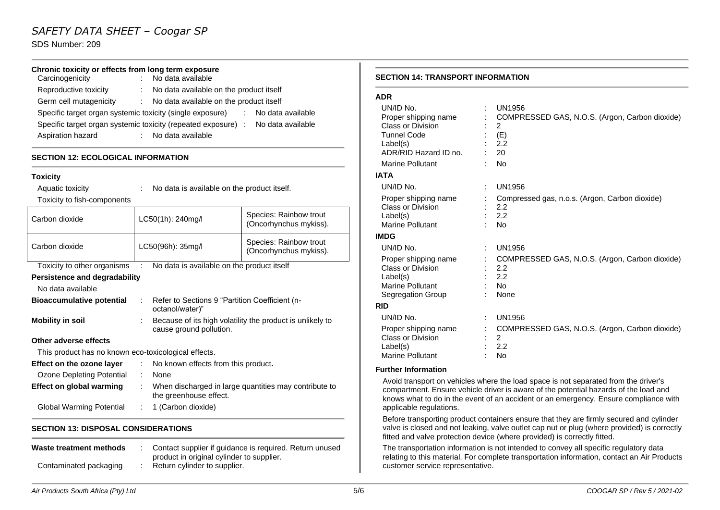# *SAFETY DATA SHEET – Coogar SP*

SDS Number: 209

| Chronic toxicity or effects from long term exposure         |    |                                         |            |                   |
|-------------------------------------------------------------|----|-----------------------------------------|------------|-------------------|
| Carcinogenicity                                             |    | No data available                       |            |                   |
| Reproductive toxicity                                       | t. | No data available on the product itself |            |                   |
| Germ cell mutagenicity                                      | t. | No data available on the product itself |            |                   |
| Specific target organ systemic toxicity (single exposure)   |    |                                         | t.         | No data available |
| Specific target organ systemic toxicity (repeated exposure) |    |                                         | $\sim 100$ | No data available |
| Aspiration hazard                                           | ÷  | No data available                       |            |                   |

## **SECTION 12: ECOLOGICAL INFORMATION**

#### **Toxicity**

Aquatic toxicity : No data is available on the product itself. Toxicity to fish-components

| Carbon dioxide                                       | LC50(1h): 240mg/l                                                                    |                                                                                 | Species: Rainbow trout<br>(Oncorhynchus mykiss). |  |
|------------------------------------------------------|--------------------------------------------------------------------------------------|---------------------------------------------------------------------------------|--------------------------------------------------|--|
| Carbon dioxide                                       | LC50(96h): 35mg/l                                                                    |                                                                                 | Species: Rainbow trout<br>(Oncorhynchus mykiss). |  |
| Toxicity to other organisms                          | No data is available on the product itself                                           |                                                                                 |                                                  |  |
| Persistence and degradability                        |                                                                                      |                                                                                 |                                                  |  |
| No data available                                    |                                                                                      |                                                                                 |                                                  |  |
| <b>Bioaccumulative potential</b>                     | ÷                                                                                    | Refer to Sections 9 "Partition Coefficient (n-<br>octanol/water)"               |                                                  |  |
| <b>Mobility in soil</b>                              | Because of its high volatility the product is unlikely to<br>cause ground pollution. |                                                                                 |                                                  |  |
| Other adverse effects                                |                                                                                      |                                                                                 |                                                  |  |
| This product has no known eco-toxicological effects. |                                                                                      |                                                                                 |                                                  |  |
| Effect on the ozone layer                            |                                                                                      | No known effects from this product.<br>$\mathcal{L}_{\mathcal{A}}$              |                                                  |  |
| Ozone Depleting Potential                            | ÷                                                                                    | None                                                                            |                                                  |  |
| Effect on global warming                             |                                                                                      | When discharged in large quantities may contribute to<br>the greenhouse effect. |                                                  |  |
| Global Warming Potential                             | ÷                                                                                    | 1 (Carbon dioxide)                                                              |                                                  |  |

## **SECTION 13: DISPOSAL CONSIDERATIONS**

| Waste treatment methods | Contact supplier if quidance is required. Return unused<br>product in original cylinder to supplier. |
|-------------------------|------------------------------------------------------------------------------------------------------|
| Contaminated packaging  | Return cylinder to supplier.                                                                         |

#### **SECTION 14: TRANSPORT INFORMATION**

## **ADR**

| UN/ID No.<br>Proper shipping name<br>Class or Division<br><b>Tunnel Code</b><br>Label(s)<br>ADR/RID Hazard ID no.<br>Marine Pollutant | UN1956<br>COMPRESSED GAS, N.O.S. (Argon, Carbon dioxide)<br>2<br>(E)<br>2.2<br>20<br><b>No</b> |
|---------------------------------------------------------------------------------------------------------------------------------------|------------------------------------------------------------------------------------------------|
| <b>IATA</b>                                                                                                                           |                                                                                                |
| UN/ID No.                                                                                                                             | UN1956<br>÷                                                                                    |
| Proper shipping name<br>Class or Division<br>Label(s)<br>Marine Pollutant                                                             | Compressed gas, n.o.s. (Argon, Carbon dioxide)<br>2.2<br>2.2<br><b>No</b>                      |
| <b>IMDG</b>                                                                                                                           |                                                                                                |
| UN/ID No.                                                                                                                             | <b>UN1956</b>                                                                                  |
| Proper shipping name<br>Class or Division<br>Label(s)<br>Marine Pollutant<br>Segregation Group                                        | COMPRESSED GAS, N.O.S. (Argon, Carbon dioxide)<br>2.2<br>2.2<br>No<br>None                     |
| <b>RID</b>                                                                                                                            |                                                                                                |
| UN/ID No.<br>Proper shipping name<br>Class or Division<br>Label(s)<br>Marine Pollutant                                                | <b>UN1956</b><br>COMPRESSED GAS, N.O.S. (Argon, Carbon dioxide)<br>2<br>2.2<br>No              |

#### **Further Information**

Avoid transport on vehicles where the load space is not separated from the driver's compartment. Ensure vehicle driver is aware of the potential hazards of the load and knows what to do in the event of an accident or an emergency. Ensure compliance with applicable regulations.

Before transporting product containers ensure that they are firmly secured and cylinder valve is closed and not leaking, valve outlet cap nut or plug (where provided) is correctly fitted and valve protection device (where provided) is correctly fitted.

The transportation information is not intended to convey all specific regulatory data relating to this material. For complete transportation information, contact an Air Products customer service representative.